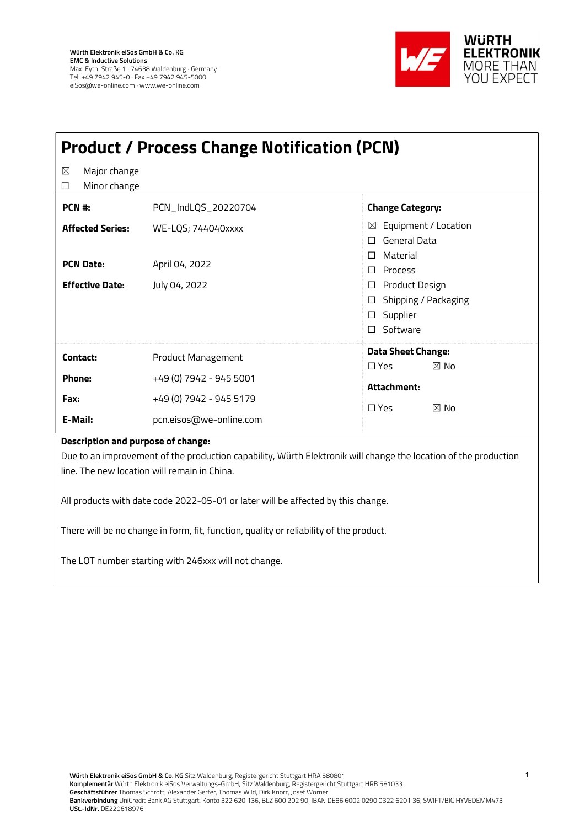

| <b>Product / Process Change Notification (PCN)</b>                                                                                                                                                    |                         |                                                                                |  |  |
|-------------------------------------------------------------------------------------------------------------------------------------------------------------------------------------------------------|-------------------------|--------------------------------------------------------------------------------|--|--|
| Major change<br>⊠<br>Minor change<br>□                                                                                                                                                                |                         |                                                                                |  |  |
| PCN #:                                                                                                                                                                                                | PCN_IndLQS_20220704     | <b>Change Category:</b>                                                        |  |  |
| <b>Affected Series:</b>                                                                                                                                                                               | WE-LQS; 744040xxxx      | Equipment / Location<br>X<br><b>General Data</b><br>П.                         |  |  |
| <b>PCN Date:</b>                                                                                                                                                                                      | April 04, 2022          | $\Box$ Material<br>$\Box$ Process                                              |  |  |
| <b>Effective Date:</b>                                                                                                                                                                                | July 04, 2022           | □ Product Design<br>□ Shipping / Packaging<br>$\square$ Supplier<br>□ Software |  |  |
| Contact:                                                                                                                                                                                              | Product Management      | <b>Data Sheet Change:</b>                                                      |  |  |
| Phone:                                                                                                                                                                                                | +49 (0) 7942 - 945 5001 | $\square$ Yes<br>$\boxtimes$ No                                                |  |  |
| Fax:                                                                                                                                                                                                  | +49 (0) 7942 - 945 5179 | Attachment:<br>$\Box$ Yes<br>$\boxtimes$ No                                    |  |  |
| E-Mail:                                                                                                                                                                                               | pcn.eisos@we-online.com |                                                                                |  |  |
| Description and purpose of change:<br>Due to an improvement of the production capability, Würth Elektronik will change the location of the production<br>line. The new location will remain in China. |                         |                                                                                |  |  |
| All products with date code 2022-05-01 or later will be affected by this change.                                                                                                                      |                         |                                                                                |  |  |
| There will be no change in form, fit, function, quality or reliability of the product.                                                                                                                |                         |                                                                                |  |  |
| The LOT number starting with 246xxx will not change.                                                                                                                                                  |                         |                                                                                |  |  |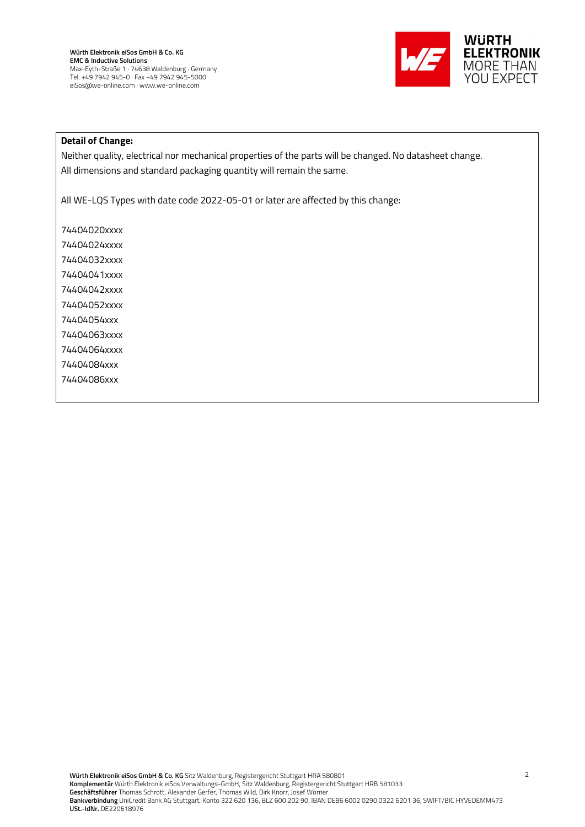

## Detail of Change:

Neither quality, electrical nor mechanical properties of the parts will be changed. No datasheet change. All dimensions and standard packaging quantity will remain the same.

All WE-LQS Types with date code 2022-05-01 or later are affected by this change:

74404020xxxx 74404024xxxx 74404032xxxx 74404041xxxx 74404042xxxx 74404052xxxx 74404054xxx 74404063xxxx 74404064xxxx 74404084xxx 74404086xxx